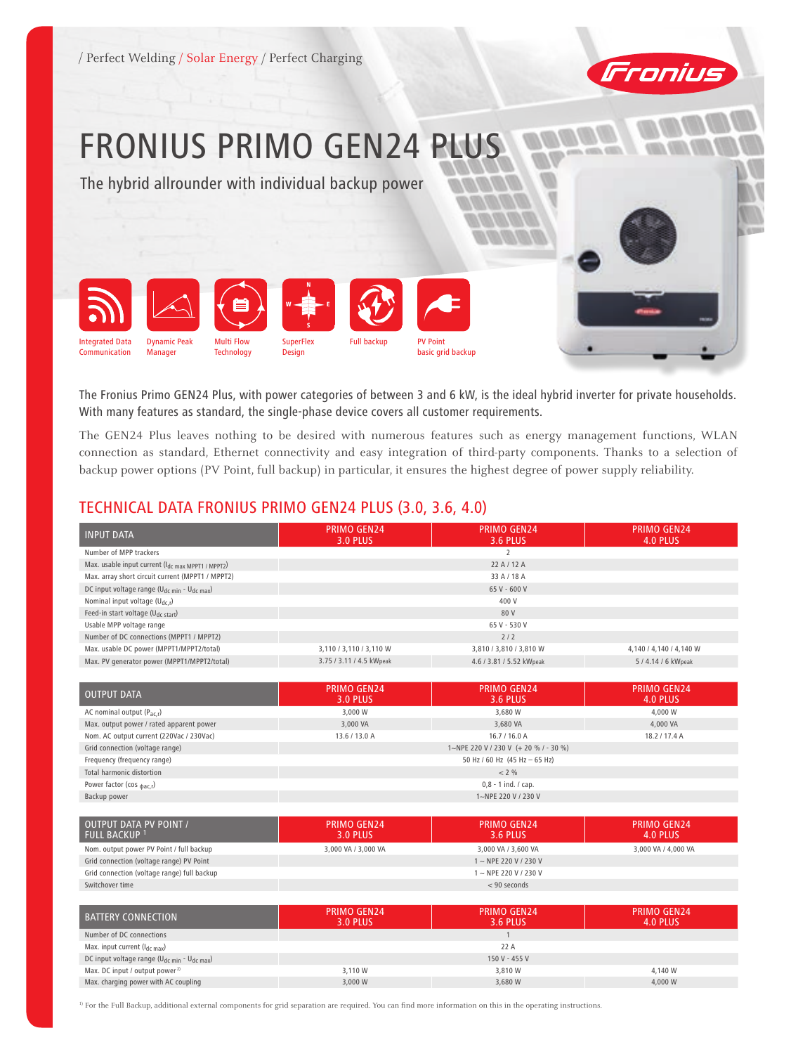

# FRONIUS PRIMO GEN24 PLUS

The hybrid allrounder with individual backup power



The Fronius Primo GEN24 Plus, with power categories of between 3 and 6 kW, is the ideal hybrid inverter for private households. With many features as standard, the single-phase device covers all customer requirements.

The GEN24 Plus leaves nothing to be desired with numerous features such as energy management functions, WLAN connection as standard, Ethernet connectivity and easy integration of third-party components. Thanks to a selection of backup power options (PV Point, full backup) in particular, it ensures the highest degree of power supply reliability.

#### TECHNICAL DATA FRONIUS PRIMO GEN24 PLUS (3.0, 3.6, 4.0)

| <b>INPUT DATA</b>                                                   | <b>PRIMO GEN24</b><br>3.0 PLUS | <b>PRIMO GEN24</b><br>3.6 PLUS | <b>PRIMO GEN24</b><br>4.0 PLUS |
|---------------------------------------------------------------------|--------------------------------|--------------------------------|--------------------------------|
| Number of MPP trackers                                              |                                |                                |                                |
| Max. usable input current (Idc max MPPT1 / MPPT2)                   |                                | 22A/12A                        |                                |
| Max. array short circuit current (MPPT1 / MPPT2)                    | 33 A / 18 A                    |                                |                                |
| DC input voltage range (U <sub>dc min</sub> - U <sub>dc max</sub> ) | 65 V - 600 V                   |                                |                                |
| Nominal input voltage $(U_{dc,r})$                                  | 400 V                          |                                |                                |
| Feed-in start voltage (U <sub>dc start</sub> )                      | 80 V                           |                                |                                |
| Usable MPP voltage range                                            | 65 V - 530 V                   |                                |                                |
| Number of DC connections (MPPT1 / MPPT2)                            |                                | 2/2                            |                                |
| Max. usable DC power (MPPT1/MPPT2/total)                            | 3,110 / 3,110 / 3,110 W        | 3,810 / 3,810 / 3,810 W        | 4,140 / 4,140 / 4,140 W        |
| Max. PV generator power (MPPT1/MPPT2/total)                         | 3.75 / 3.11 / 4.5 kWpeak       | 4.6 / 3.81 / 5.52 kWpeak       | 5 / 4.14 / 6 kWpeak            |

| <b>OUTPUT DATA</b>                       | <b>PRIMO GEN24</b><br>3.0 PLUS        | <b>PRIMO GEN24</b><br>3.6 PLUS | <b>PRIMO GEN24</b><br>4.0 PLUS |
|------------------------------------------|---------------------------------------|--------------------------------|--------------------------------|
| AC nominal output $(P_{ac,r})$           | 3.000 W                               | 3.680 W                        | 4,000 W                        |
| Max. output power / rated apparent power | 3,000 VA                              | 3,680 VA                       | 4.000 VA                       |
| Nom. AC output current (220Vac / 230Vac) | 13.6 / 13.0 A                         | 16.7/16.0A                     | 18.2 / 17.4 A                  |
| Grid connection (voltage range)          | 1~NPE 220 V / 230 V (+ 20 % / - 30 %) |                                |                                |
| Frequency (frequency range)              | 50 Hz / 60 Hz $(45$ Hz $- 65$ Hz)     |                                |                                |
| Total harmonic distortion                |                                       | $< 2\%$                        |                                |
| Power factor (cos $_{\text{dac,r}}$ )    | $0,8 - 1$ ind. / cap.                 |                                |                                |
| Backup power                             | 1~NPE 220 V / 230 V                   |                                |                                |

| OUTPUT DATA PV POINT /<br><b>FULL BACKUP 1</b> | <b>PRIMO GEN24</b><br>3.0 PLUS | <b>PRIMO GEN24</b><br>3.6 PLUS | <b>PRIMO GEN24</b><br>4.0 PLUS |
|------------------------------------------------|--------------------------------|--------------------------------|--------------------------------|
| Nom. output power PV Point / full backup       | 3,000 VA / 3,000 VA            | 3,000 VA / 3,600 VA            | 3,000 VA / 4,000 VA            |
| Grid connection (voltage range) PV Point       |                                | 1~NPE 220 V / 230 V            |                                |
| Grid connection (voltage range) full backup    |                                | 1~NPE 220 V / 230 V            |                                |
| Switchover time                                |                                | $< 90$ seconds                 |                                |

| BATTERY CONNECTION                                                  | <b>PRIMO GEN24</b><br>3.0 PLUS | <b>PRIMO GEN24</b><br>3.6 PLUS | <b>PRIMO GEN24</b><br>4.0 PLUS |
|---------------------------------------------------------------------|--------------------------------|--------------------------------|--------------------------------|
| Number of DC connections                                            |                                |                                |                                |
| Max. input current $(I_{dc\,max})$                                  |                                | 22 A                           |                                |
| DC input voltage range (U <sub>dc min</sub> - U <sub>dc max</sub> ) |                                | 150 V - 455 V                  |                                |
| Max. DC input / output power <sup>2)</sup>                          | 3.110 W                        | 3.810 W                        | 4,140 W                        |
| Max. charging power with AC coupling                                | 3,000 W                        | 3.680 W                        | 4.000 W                        |

<sup>1)</sup> For the Full Backup, additional external components for grid separation are required. You can find more information on this in the operating instructions.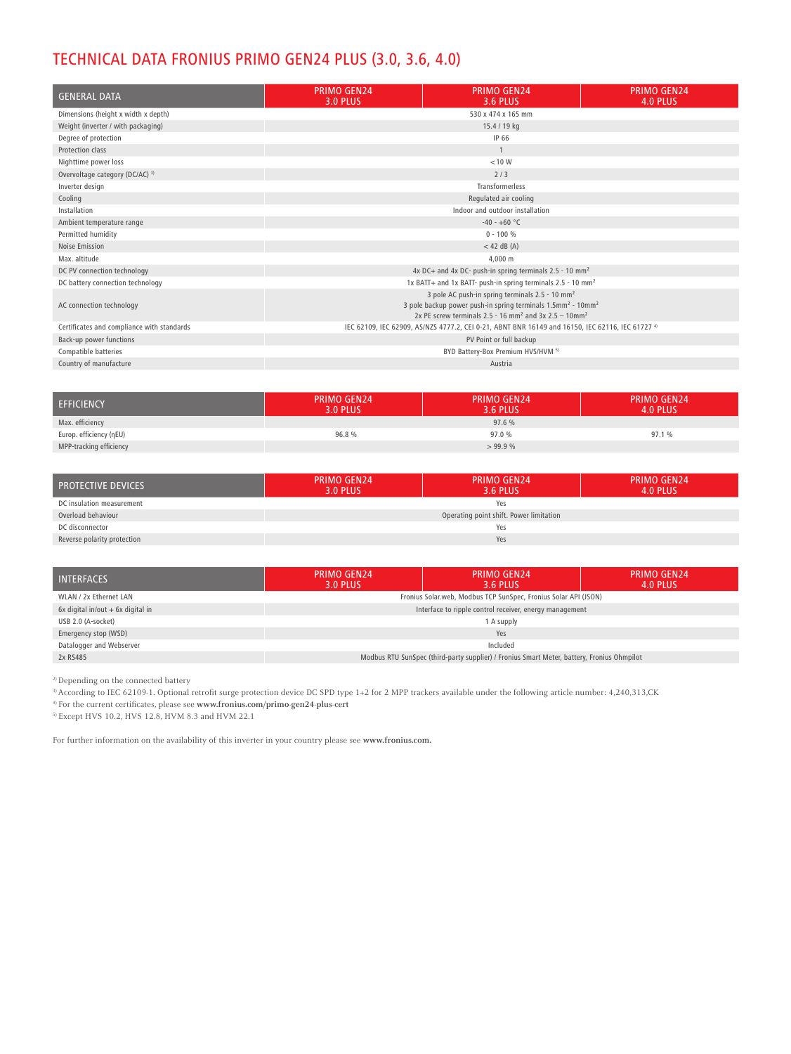## TECHNICAL DATA FRONIUS PRIMO GEN24 PLUS (3.0, 3.6, 4.0)

| <b>GENERAL DATA</b>                        | <b>PRIMO GEN24</b><br><b>3.0 PLUS</b>                                                                                                                                                                                               | <b>PRIMO GEN24</b><br><b>3.6 PLUS</b>                                   | <b>PRIMO GEN24</b><br>4.0 PLUS |
|--------------------------------------------|-------------------------------------------------------------------------------------------------------------------------------------------------------------------------------------------------------------------------------------|-------------------------------------------------------------------------|--------------------------------|
| Dimensions (height x width x depth)        | 530 x 474 x 165 mm                                                                                                                                                                                                                  |                                                                         |                                |
| Weight (inverter / with packaging)         | 15.4 / 19 kg                                                                                                                                                                                                                        |                                                                         |                                |
| Degree of protection                       |                                                                                                                                                                                                                                     | IP 66                                                                   |                                |
| Protection class                           |                                                                                                                                                                                                                                     | $\mathbf{1}$                                                            |                                |
| Nighttime power loss                       |                                                                                                                                                                                                                                     | < 10 W                                                                  |                                |
| Overvoltage category (DC/AC) 3)            |                                                                                                                                                                                                                                     | 2/3                                                                     |                                |
| Inverter design                            |                                                                                                                                                                                                                                     | Transformerless                                                         |                                |
| Cooling                                    |                                                                                                                                                                                                                                     | Regulated air cooling                                                   |                                |
| Installation                               | Indoor and outdoor installation                                                                                                                                                                                                     |                                                                         |                                |
| Ambient temperature range                  | $-40 - +60$ °C                                                                                                                                                                                                                      |                                                                         |                                |
| Permitted humidity                         | $0 - 100 %$                                                                                                                                                                                                                         |                                                                         |                                |
| Noise Emission                             | $<$ 42 dB (A)                                                                                                                                                                                                                       |                                                                         |                                |
| Max. altitude                              | 4.000 m                                                                                                                                                                                                                             |                                                                         |                                |
| DC PV connection technology                | 4x DC+ and 4x DC- push-in spring terminals 2.5 - 10 mm <sup>2</sup>                                                                                                                                                                 |                                                                         |                                |
| DC battery connection technology           |                                                                                                                                                                                                                                     | 1x BATT+ and 1x BATT- push-in spring terminals 2.5 - 10 mm <sup>2</sup> |                                |
| AC connection technology                   | 3 pole AC push-in spring terminals 2.5 - 10 mm <sup>2</sup><br>3 pole backup power push-in spring terminals 1.5mm <sup>2</sup> - 10mm <sup>2</sup><br>2x PE screw terminals 2.5 - 16 mm <sup>2</sup> and 3x 2.5 - 10mm <sup>2</sup> |                                                                         |                                |
| Certificates and compliance with standards | IEC 62109, IEC 62909, AS/NZS 4777.2, CEI 0-21, ABNT BNR 16149 and 16150, IEC 62116, IEC 61727 4)                                                                                                                                    |                                                                         |                                |
| Back-up power functions                    | PV Point or full backup                                                                                                                                                                                                             |                                                                         |                                |
| Compatible batteries                       | BYD Battery-Box Premium HVS/HVM 5)                                                                                                                                                                                                  |                                                                         |                                |
| Country of manufacture                     |                                                                                                                                                                                                                                     | Austria                                                                 |                                |

| <b>EFFICIENCY</b>       | <b>PRIMO GEN24</b><br>3.0 PLUS | <b>PRIMO GEN24</b><br>3.6 PLUS' | <b>PRIMO GEN24</b><br>4.0 PLUS |
|-------------------------|--------------------------------|---------------------------------|--------------------------------|
| Max. efficiency         |                                | 97.6 %                          |                                |
| Europ. efficiency (nEU) | 96.8%                          | 97.0 %                          | 97.1 %                         |
| MPP-tracking efficiency |                                | >99.9%                          |                                |

| <b>PROTECTIVE DEVICES</b>   | <b>PRIMO GEN24</b><br><b>3.0 PLUS</b>   | <b>PRIMO GEN24</b><br>3.6 PLUS | <b>PRIMO GEN24</b><br>4.0 PLUS |
|-----------------------------|-----------------------------------------|--------------------------------|--------------------------------|
| DC insulation measurement   | Yes                                     |                                |                                |
| Overload behaviour          | Operating point shift. Power limitation |                                |                                |
| DC disconnector             | Yes                                     |                                |                                |
| Reverse polarity protection | Yes                                     |                                |                                |

| <b>INTERFACES</b>                    | <b>PRIMO GEN24</b><br>3.0 PLUS                                                             | <b>PRIMO GEN24</b><br>3.6 PLUS | <b>PRIMO GEN24</b><br>4.0 PLUS |
|--------------------------------------|--------------------------------------------------------------------------------------------|--------------------------------|--------------------------------|
| WLAN / 2x Ethernet LAN               | Fronius Solar.web, Modbus TCP SunSpec, Fronius Solar API (JSON)                            |                                |                                |
| $6x$ digital in/out $+6x$ digital in | Interface to ripple control receiver, energy management                                    |                                |                                |
| USB 2.0 (A-socket)                   | 1 A supply                                                                                 |                                |                                |
| Emergency stop (WSD)                 | Yes                                                                                        |                                |                                |
| Datalogger and Webserver             | Included                                                                                   |                                |                                |
| 2x RS485                             | Modbus RTU SunSpec (third-party supplier) / Fronius Smart Meter, battery, Fronius Ohmpilot |                                |                                |

2)Depending on the connected battery

3)According to IEC 62109-1. Optional retrofit surge protection device DC SPD type 1+2 for 2 MPP trackers available under the following article number: 4,240,313,CK 4) For the current certificates, please see **www.fronius.com/primo-gen24-plus-cert**

5) Except HVS 10.2, HVS 12.8, HVM 8.3 and HVM 22.1

For further information on the availability of this inverter in your country please see **www.fronius.com.**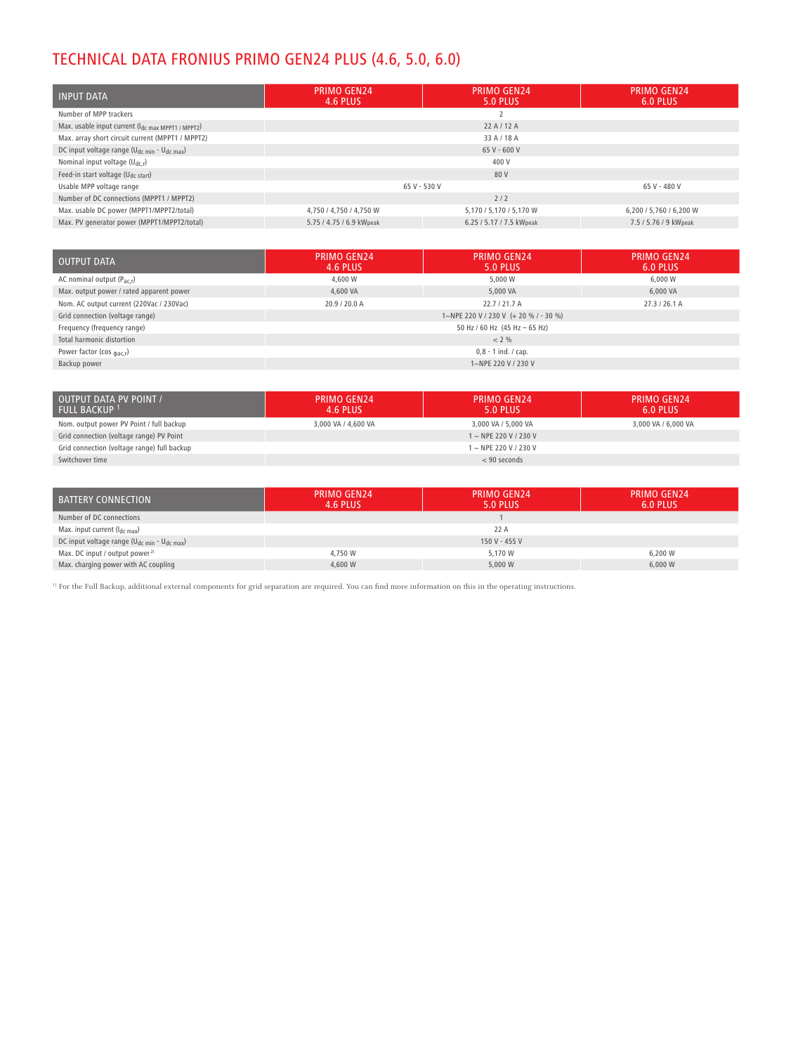# TECHNICAL DATA FRONIUS PRIMO GEN24 PLUS (4.6, 5.0, 6.0)

| <b>INPUT DATA</b>                                      | <b>PRIMO GEN24</b><br>4.6 PLUS | <b>PRIMO GEN24</b><br>5.0 PLUS | <b>PRIMO GEN24</b><br>6.0 PLUS |
|--------------------------------------------------------|--------------------------------|--------------------------------|--------------------------------|
| Number of MPP trackers                                 |                                |                                |                                |
| Max. usable input current (Idc max MPPT1 / MPPT2)      |                                | 22A/12A                        |                                |
| Max. array short circuit current (MPPT1 / MPPT2)       |                                | 33 A / 18 A                    |                                |
| DC input voltage range ( $U_{dc,min}$ - $U_{dc,max}$ ) | 65 V - 600 V                   |                                |                                |
| Nominal input voltage $(U_{dc,r})$                     | 400 V                          |                                |                                |
| Feed-in start voltage (U <sub>dc start</sub> )         |                                | 80 V                           |                                |
| Usable MPP voltage range                               | 65 V - 530 V                   |                                | 65 V - 480 V                   |
| Number of DC connections (MPPT1 / MPPT2)               |                                | 2/2                            |                                |
| Max. usable DC power (MPPT1/MPPT2/total)               | 4,750 / 4,750 / 4,750 W        | 5,170 / 5,170 / 5,170 W        | 6,200 / 5,760 / 6,200 W        |
| Max. PV generator power (MPPT1/MPPT2/total)            | 5.75 / 4.75 / 6.9 kWpeak       | 6.25 / 5.17 / 7.5 kWpeak       | 7.5 / 5.76 / 9 kWpeak          |

| <b>OUTPUT DATA</b>                       | <b>PRIMO GEN24</b><br>4.6 PLUS        | <b>PRIMO GEN24</b><br>5.0 PLUS | <b>PRIMO GEN24</b><br>6.0 PLUS |
|------------------------------------------|---------------------------------------|--------------------------------|--------------------------------|
| AC nominal output $(P_{\text{ac}})$      | 4,600 W                               | 5.000 W                        | 6.000 W                        |
| Max. output power / rated apparent power | 4,600 VA                              | 5,000 VA                       | 6,000 VA                       |
| Nom. AC output current (220Vac / 230Vac) | 20.9 / 20.0 A                         | 22.7/21.7A                     | 27.3/26.1 A                    |
| Grid connection (voltage range)          | 1~NPE 220 V / 230 V (+ 20 % / - 30 %) |                                |                                |
| Frequency (frequency range)              | 50 Hz / 60 Hz $(45$ Hz $- 65$ Hz)     |                                |                                |
| Total harmonic distortion                |                                       | $< 2\%$                        |                                |
| Power factor (cos $_{\text{dac,r}}$ )    |                                       | $0,8 - 1$ ind. / cap.          |                                |
| Backup power                             |                                       | 1~NPE 220 V / 230 V            |                                |

| <b>OUTPUT DATA PV POINT /</b><br><b>FULL BACKUP</b> 1 | <b>PRIMO GEN24</b><br>4.6 PLUS | <b>PRIMO GEN24</b><br>5.0 PLUS | <b>PRIMO GEN24</b><br>6.0 PLUS |
|-------------------------------------------------------|--------------------------------|--------------------------------|--------------------------------|
| Nom. output power PV Point / full backup              | 3,000 VA / 4,600 VA            | 3,000 VA / 5,000 VA            | 3,000 VA / 6,000 VA            |
| Grid connection (voltage range) PV Point              |                                | $1 \sim$ NPE 220 V / 230 V     |                                |
| Grid connection (voltage range) full backup           |                                | 1 ~ NPE 220 V / 230 V          |                                |
| Switchover time                                       |                                | $< 90$ seconds                 |                                |

| BATTERY CONNECTION                                     | <b>PRIMO GEN24</b><br>4.6 PLUS | <b>PRIMO GEN24</b><br>5.0 PLUS | <b>PRIMO GEN24</b><br>6.0 PLUS |
|--------------------------------------------------------|--------------------------------|--------------------------------|--------------------------------|
| Number of DC connections                               |                                |                                |                                |
| Max. input current (I <sub>dc max</sub> )              |                                | 22 A                           |                                |
| DC input voltage range ( $U_{dc,min}$ - $U_{dc,max}$ ) |                                | 150 V - 455 V                  |                                |
| Max. DC input / output power <sup>2)</sup>             | 4,750 W                        | 5.170 W                        | 6.200 W                        |
| Max. charging power with AC coupling                   | 4,600 W                        | 5,000 W                        | 6,000 W                        |

<sup>1)</sup> For the Full Backup, additional external components for grid separation are required. You can find more information on this in the operating instructions.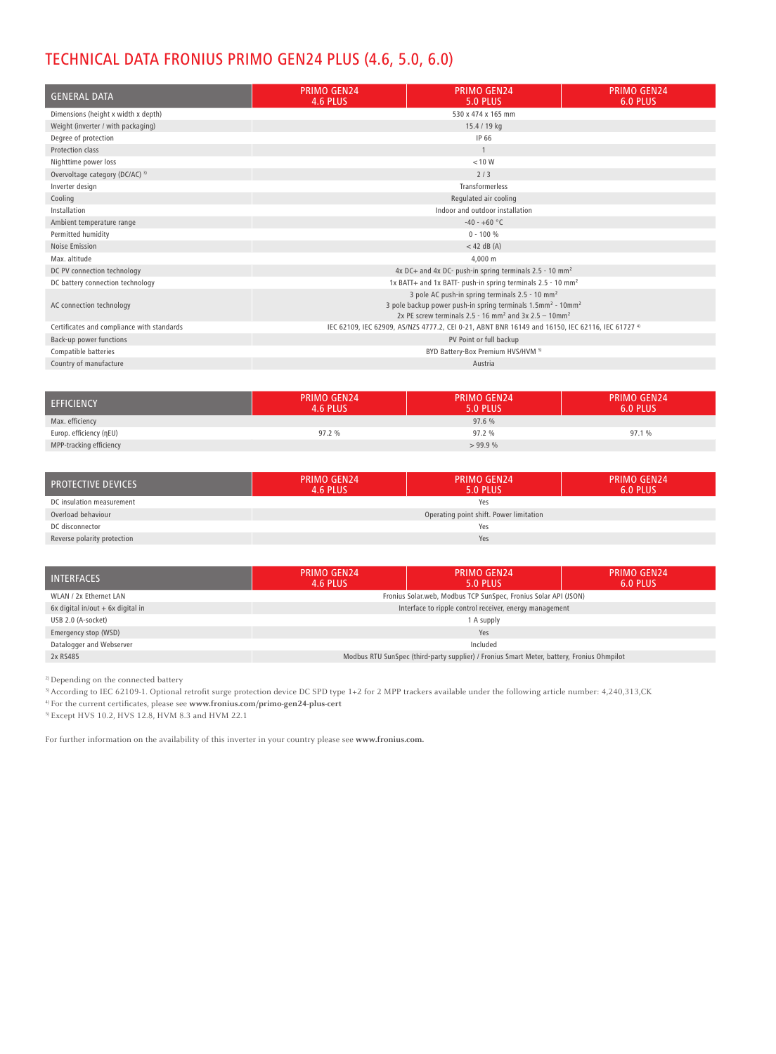## TECHNICAL DATA FRONIUS PRIMO GEN24 PLUS (4.6, 5.0, 6.0)

| <b>GENERAL DATA</b>                        | <b>PRIMO GEN24</b><br>4.6 PLUS                                                                                                                                                                                                      | <b>PRIMO GEN24</b><br><b>5.0 PLUS</b> | <b>PRIMO GEN24</b><br>6.0 PLUS |
|--------------------------------------------|-------------------------------------------------------------------------------------------------------------------------------------------------------------------------------------------------------------------------------------|---------------------------------------|--------------------------------|
| Dimensions (height x width x depth)        | 530 x 474 x 165 mm                                                                                                                                                                                                                  |                                       |                                |
| Weight (inverter / with packaging)         | 15.4 / 19 kg                                                                                                                                                                                                                        |                                       |                                |
| Degree of protection                       | IP 66                                                                                                                                                                                                                               |                                       |                                |
| Protection class                           |                                                                                                                                                                                                                                     |                                       |                                |
| Nighttime power loss                       | < 10 W                                                                                                                                                                                                                              |                                       |                                |
| Overvoltage category (DC/AC) 3)            | 2/3                                                                                                                                                                                                                                 |                                       |                                |
| Inverter design                            | Transformerless                                                                                                                                                                                                                     |                                       |                                |
| Cooling                                    | Regulated air cooling                                                                                                                                                                                                               |                                       |                                |
| Installation                               | Indoor and outdoor installation                                                                                                                                                                                                     |                                       |                                |
| Ambient temperature range                  | $-40 - +60$ °C                                                                                                                                                                                                                      |                                       |                                |
| Permitted humidity                         | $0 - 100 %$                                                                                                                                                                                                                         |                                       |                                |
| Noise Emission                             | $<$ 42 dB (A)                                                                                                                                                                                                                       |                                       |                                |
| Max. altitude                              | 4.000 m                                                                                                                                                                                                                             |                                       |                                |
| DC PV connection technology                | 4x DC+ and 4x DC- push-in spring terminals $2.5 - 10$ mm <sup>2</sup>                                                                                                                                                               |                                       |                                |
| DC battery connection technology           | 1x BATT+ and 1x BATT- push-in spring terminals 2.5 - 10 mm <sup>2</sup>                                                                                                                                                             |                                       |                                |
| AC connection technology                   | 3 pole AC push-in spring terminals 2.5 - 10 mm <sup>2</sup><br>3 pole backup power push-in spring terminals 1.5mm <sup>2</sup> - 10mm <sup>2</sup><br>2x PE screw terminals 2.5 - 16 mm <sup>2</sup> and 3x 2.5 - 10mm <sup>2</sup> |                                       |                                |
| Certificates and compliance with standards | IEC 62109, IEC 62909, AS/NZS 4777.2, CEI 0-21, ABNT BNR 16149 and 16150, IEC 62116, IEC 61727 4)                                                                                                                                    |                                       |                                |
| Back-up power functions                    | PV Point or full backup                                                                                                                                                                                                             |                                       |                                |
| Compatible batteries                       | BYD Battery-Box Premium HVS/HVM 5)                                                                                                                                                                                                  |                                       |                                |
| Country of manufacture                     | Austria                                                                                                                                                                                                                             |                                       |                                |

| <b>EFFICIENCY</b>       | <b>PRIMO GEN24</b><br>4.6 PLUS | <b>PRIMO GEN24</b><br>5.0 PLUS | <b>PRIMO GEN24</b><br>6.0 PLUS |
|-------------------------|--------------------------------|--------------------------------|--------------------------------|
| Max. efficiency         |                                | 97.6 %                         |                                |
| Europ. efficiency (ηEU) | 97.2%                          | 97.2 %                         | 97.1 %                         |
| MPP-tracking efficiency |                                | >99.9%                         |                                |

| <b>PROTECTIVE DEVICES</b>   | <b>PRIMO GEN24</b><br>4.6 PLUS          | <b>PRIMO GEN24</b><br>5.0 PLUS | <b>PRIMO GEN24</b><br>6.0 PLUS |
|-----------------------------|-----------------------------------------|--------------------------------|--------------------------------|
| DC insulation measurement   | Yes                                     |                                |                                |
| Overload behaviour          | Operating point shift. Power limitation |                                |                                |
| DC disconnector             | Yes                                     |                                |                                |
| Reverse polarity protection | Yes                                     |                                |                                |

| <b>INTERFACES</b>                    | PRIMO GEN24<br>4.6 PLUS                                                                    | <b>PRIMO GEN24</b><br>5.0 PLUS | <b>PRIMO GEN24</b><br>6.0 PLUS |
|--------------------------------------|--------------------------------------------------------------------------------------------|--------------------------------|--------------------------------|
| WLAN / 2x Ethernet LAN               | Fronius Solar.web, Modbus TCP SunSpec, Fronius Solar API (JSON)                            |                                |                                |
| $6x$ digital in/out $+6x$ digital in | Interface to ripple control receiver, energy management                                    |                                |                                |
| USB 2.0 (A-socket)                   | 1 A supply                                                                                 |                                |                                |
| Emergency stop (WSD)                 | Yes                                                                                        |                                |                                |
| Datalogger and Webserver             | Included                                                                                   |                                |                                |
| 2x RS485                             | Modbus RTU SunSpec (third-party supplier) / Fronius Smart Meter, battery, Fronius Ohmpilot |                                |                                |

 $^{\rm 2)}$  Depending on the connected battery

3)According to IEC 62109-1. Optional retrofit surge protection device DC SPD type 1+2 for 2 MPP trackers available under the following article number: 4,240,313,CK

4) For the current certificates, please see **www.fronius.com/primo-gen24-plus-cert**

5) Except HVS 10.2, HVS 12.8, HVM 8.3 and HVM 22.1

For further information on the availability of this inverter in your country please see **www.fronius.com.**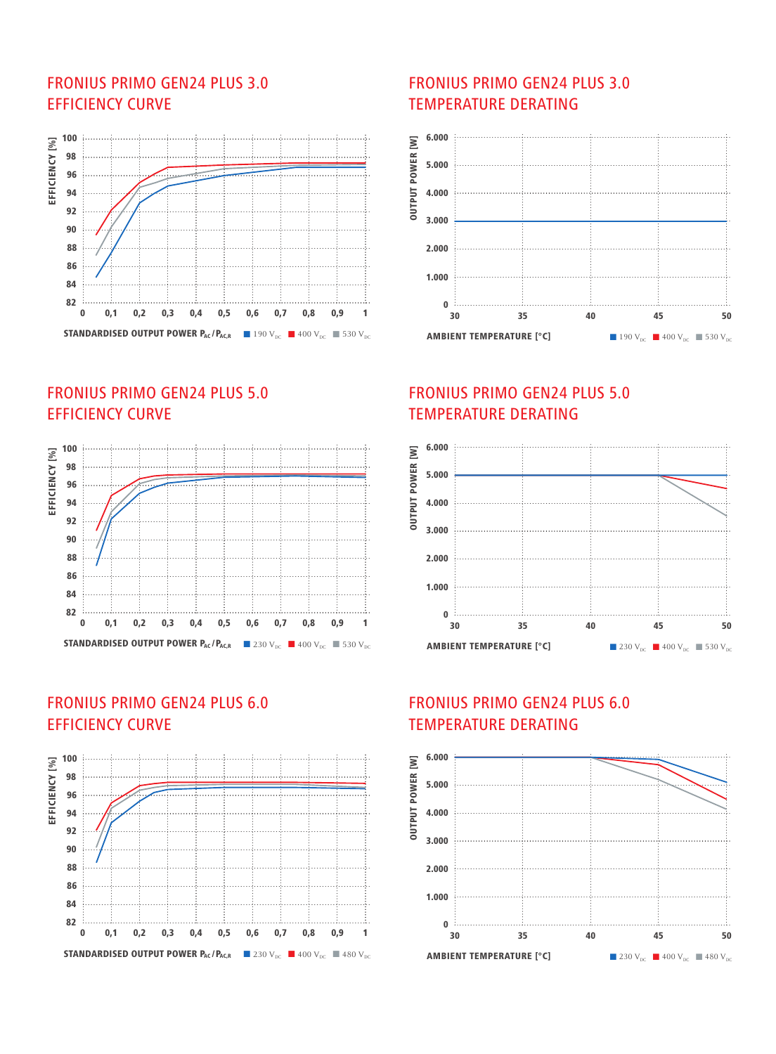### FRONIUS PRIMO GEN24 PLUS 3.0 EFFICIENCY CURVE



## FRONIUS PRIMO GEN24 PLUS 5.0 EFFICIENCY CURVE



### FRONIUS PRIMO GEN24 PLUS 6.0 EFFICIENCY CURVE



#### FRONIUS PRIMO GEN24 PLUS 3.0 TEMPERATURE DERATING



#### FRONIUS PRIMO GEN24 PLUS 5.0 TEMPERATURE DERATING



## FRONIUS PRIMO GEN24 PLUS 6.0 TEMPERATURE DERATING